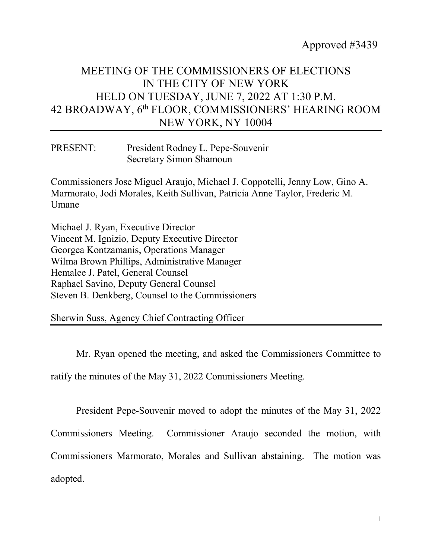## MEETING OF THE COMMISSIONERS OF ELECTIONS IN THE CITY OF NEW YORK HELD ON TUESDAY, JUNE 7, 2022 AT 1:30 P.M. 42 BROADWAY, 6th FLOOR, COMMISSIONERS' HEARING ROOM NEW YORK, NY 10004

PRESENT: President Rodney L. Pepe-Souvenir Secretary Simon Shamoun

Commissioners Jose Miguel Araujo, Michael J. Coppotelli, Jenny Low, Gino A. Marmorato, Jodi Morales, Keith Sullivan, Patricia Anne Taylor, Frederic M. Umane

Michael J. Ryan, Executive Director Vincent M. Ignizio, Deputy Executive Director Georgea Kontzamanis, Operations Manager Wilma Brown Phillips, Administrative Manager Hemalee J. Patel, General Counsel Raphael Savino, Deputy General Counsel Steven B. Denkberg, Counsel to the Commissioners

Sherwin Suss, Agency Chief Contracting Officer

Mr. Ryan opened the meeting, and asked the Commissioners Committee to ratify the minutes of the May 31, 2022 Commissioners Meeting.

President Pepe-Souvenir moved to adopt the minutes of the May 31, 2022 Commissioners Meeting. Commissioner Araujo seconded the motion, with Commissioners Marmorato, Morales and Sullivan abstaining. The motion was adopted.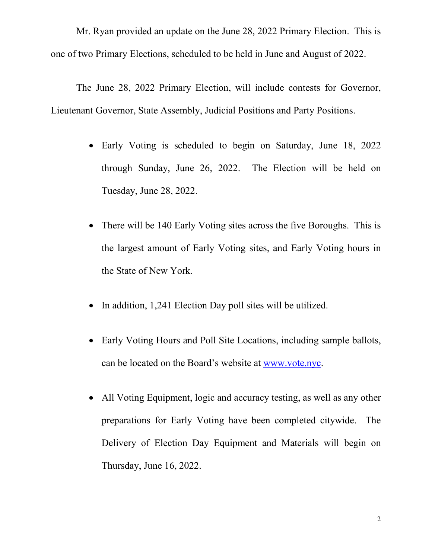Mr. Ryan provided an update on the June 28, 2022 Primary Election. This is one of two Primary Elections, scheduled to be held in June and August of 2022.

The June 28, 2022 Primary Election, will include contests for Governor, Lieutenant Governor, State Assembly, Judicial Positions and Party Positions.

- Early Voting is scheduled to begin on Saturday, June 18, 2022 through Sunday, June 26, 2022. The Election will be held on Tuesday, June 28, 2022.
- There will be 140 Early Voting sites across the five Boroughs. This is the largest amount of Early Voting sites, and Early Voting hours in the State of New York.
- In addition, 1,241 Election Day poll sites will be utilized.
- Early Voting Hours and Poll Site Locations, including sample ballots, can be located on the Board's website at [www.vote.nyc.](http://www.vote.nyc/)
- All Voting Equipment, logic and accuracy testing, as well as any other preparations for Early Voting have been completed citywide. The Delivery of Election Day Equipment and Materials will begin on Thursday, June 16, 2022.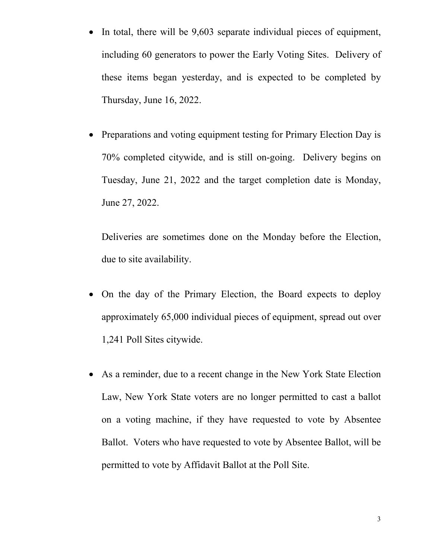- In total, there will be 9,603 separate individual pieces of equipment, including 60 generators to power the Early Voting Sites. Delivery of these items began yesterday, and is expected to be completed by Thursday, June 16, 2022.
- Preparations and voting equipment testing for Primary Election Day is 70% completed citywide, and is still on-going. Delivery begins on Tuesday, June 21, 2022 and the target completion date is Monday, June 27, 2022.

Deliveries are sometimes done on the Monday before the Election, due to site availability.

- On the day of the Primary Election, the Board expects to deploy approximately 65,000 individual pieces of equipment, spread out over 1,241 Poll Sites citywide.
- As a reminder, due to a recent change in the New York State Election Law, New York State voters are no longer permitted to cast a ballot on a voting machine, if they have requested to vote by Absentee Ballot. Voters who have requested to vote by Absentee Ballot, will be permitted to vote by Affidavit Ballot at the Poll Site.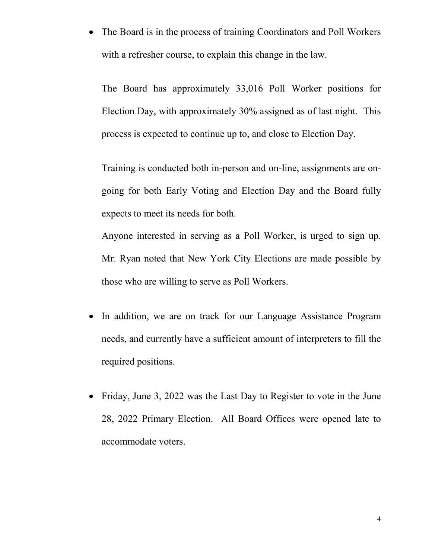• The Board is in the process of training Coordinators and Poll Workers with a refresher course, to explain this change in the law.

The Board has approximately 33,016 Poll Worker positions for Election Day, with approximately 30% assigned as of last night. This process is expected to continue up to, and close to Election Day.

Training is conducted both in-person and on-line, assignments are ongoing for both Early Voting and Election Day and the Board fully expects to meet its needs for both.

Anyone interested in serving as a Poll Worker, is urged to sign up. Mr. Ryan noted that New York City Elections are made possible by those who are willing to serve as Poll Workers.

- In addition, we are on track for our Language Assistance Program needs, and currently have a sufficient amount of interpreters to fill the required positions.
- Friday, June 3, 2022 was the Last Day to Register to vote in the June 28, 2022 Primary Election. All Board Offices were opened late to accommodate voters.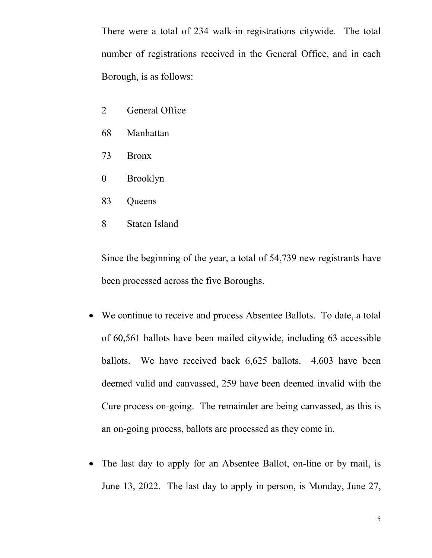There were a total of 234 walk-in registrations citywide. The total number of registrations received in the General Office, and in each Borough, is as follows:

- 2 General Office
- 68 Manhattan
- 73 Bronx
- 0 Brooklyn
- 83 Queens
- 8 Staten Island

Since the beginning of the year, a total of 54,739 new registrants have been processed across the five Boroughs.

- We continue to receive and process Absentee Ballots. To date, a total of 60,561 ballots have been mailed citywide, including 63 accessible ballots. We have received back 6,625 ballots. 4,603 have been deemed valid and canvassed, 259 have been deemed invalid with the Cure process on-going. The remainder are being canvassed, as this is an on-going process, ballots are processed as they come in.
- The last day to apply for an Absentee Ballot, on-line or by mail, is June 13, 2022. The last day to apply in person, is Monday, June 27,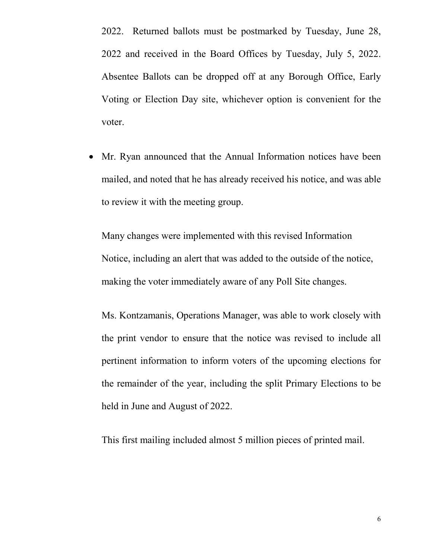2022. Returned ballots must be postmarked by Tuesday, June 28, 2022 and received in the Board Offices by Tuesday, July 5, 2022. Absentee Ballots can be dropped off at any Borough Office, Early Voting or Election Day site, whichever option is convenient for the voter.

• Mr. Ryan announced that the Annual Information notices have been mailed, and noted that he has already received his notice, and was able to review it with the meeting group.

Many changes were implemented with this revised Information Notice, including an alert that was added to the outside of the notice, making the voter immediately aware of any Poll Site changes.

Ms. Kontzamanis, Operations Manager, was able to work closely with the print vendor to ensure that the notice was revised to include all pertinent information to inform voters of the upcoming elections for the remainder of the year, including the split Primary Elections to be held in June and August of 2022.

This first mailing included almost 5 million pieces of printed mail.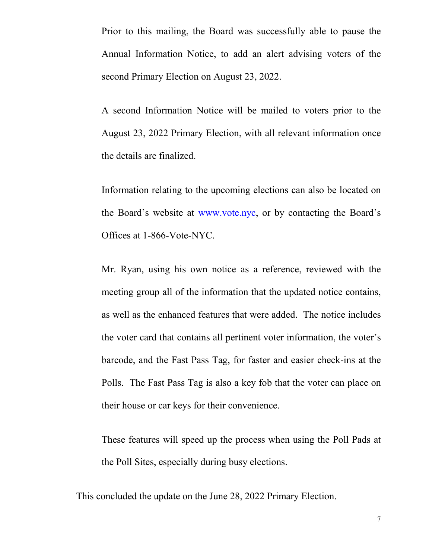Prior to this mailing, the Board was successfully able to pause the Annual Information Notice, to add an alert advising voters of the second Primary Election on August 23, 2022.

A second Information Notice will be mailed to voters prior to the August 23, 2022 Primary Election, with all relevant information once the details are finalized.

Information relating to the upcoming elections can also be located on the Board's website at [www.vote.nyc,](http://www.vote.nyc/) or by contacting the Board's Offices at 1-866-Vote-NYC.

Mr. Ryan, using his own notice as a reference, reviewed with the meeting group all of the information that the updated notice contains, as well as the enhanced features that were added. The notice includes the voter card that contains all pertinent voter information, the voter's barcode, and the Fast Pass Tag, for faster and easier check-ins at the Polls. The Fast Pass Tag is also a key fob that the voter can place on their house or car keys for their convenience.

These features will speed up the process when using the Poll Pads at the Poll Sites, especially during busy elections.

This concluded the update on the June 28, 2022 Primary Election.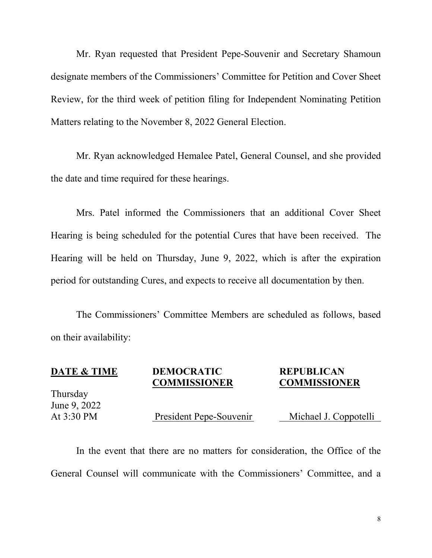Mr. Ryan requested that President Pepe-Souvenir and Secretary Shamoun designate members of the Commissioners' Committee for Petition and Cover Sheet Review, for the third week of petition filing for Independent Nominating Petition Matters relating to the November 8, 2022 General Election.

Mr. Ryan acknowledged Hemalee Patel, General Counsel, and she provided the date and time required for these hearings.

Mrs. Patel informed the Commissioners that an additional Cover Sheet Hearing is being scheduled for the potential Cures that have been received. The Hearing will be held on Thursday, June 9, 2022, which is after the expiration period for outstanding Cures, and expects to receive all documentation by then.

The Commissioners' Committee Members are scheduled as follows, based on their availability:

| <b>DATE &amp; TIME</b> | <b>DEMOCRATIC</b><br><b>COMMISSIONER</b> | <b>REPUBLICAN</b><br><b>COMMISSIONER</b> |
|------------------------|------------------------------------------|------------------------------------------|
| Thursday               |                                          |                                          |
| June 9, 2022           |                                          |                                          |
| At 3:30 PM             | President Pepe-Souvenir                  | Michael J. Coppotelli                    |
|                        |                                          |                                          |

In the event that there are no matters for consideration, the Office of the General Counsel will communicate with the Commissioners' Committee, and a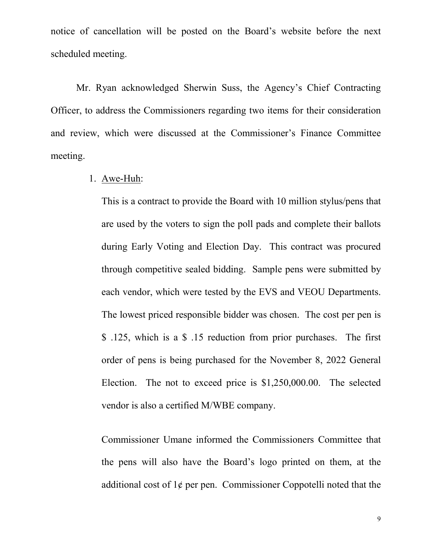notice of cancellation will be posted on the Board's website before the next scheduled meeting.

Mr. Ryan acknowledged Sherwin Suss, the Agency's Chief Contracting Officer, to address the Commissioners regarding two items for their consideration and review, which were discussed at the Commissioner's Finance Committee meeting.

## 1. Awe-Huh:

This is a contract to provide the Board with 10 million stylus/pens that are used by the voters to sign the poll pads and complete their ballots during Early Voting and Election Day. This contract was procured through competitive sealed bidding. Sample pens were submitted by each vendor, which were tested by the EVS and VEOU Departments. The lowest priced responsible bidder was chosen. The cost per pen is \$ .125, which is a \$ .15 reduction from prior purchases. The first order of pens is being purchased for the November 8, 2022 General Election. The not to exceed price is \$1,250,000.00. The selected vendor is also a certified M/WBE company.

Commissioner Umane informed the Commissioners Committee that the pens will also have the Board's logo printed on them, at the additional cost of  $1¢$  per pen. Commissioner Coppotelli noted that the

9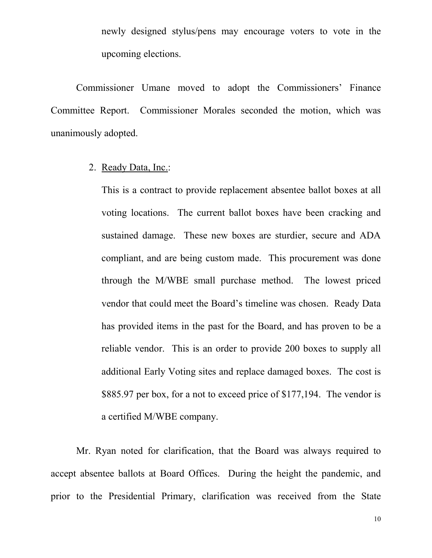newly designed stylus/pens may encourage voters to vote in the upcoming elections.

Commissioner Umane moved to adopt the Commissioners' Finance Committee Report. Commissioner Morales seconded the motion, which was unanimously adopted.

2. Ready Data, Inc.:

This is a contract to provide replacement absentee ballot boxes at all voting locations. The current ballot boxes have been cracking and sustained damage. These new boxes are sturdier, secure and ADA compliant, and are being custom made. This procurement was done through the M/WBE small purchase method. The lowest priced vendor that could meet the Board's timeline was chosen. Ready Data has provided items in the past for the Board, and has proven to be a reliable vendor. This is an order to provide 200 boxes to supply all additional Early Voting sites and replace damaged boxes. The cost is \$885.97 per box, for a not to exceed price of \$177,194. The vendor is a certified M/WBE company.

Mr. Ryan noted for clarification, that the Board was always required to accept absentee ballots at Board Offices. During the height the pandemic, and prior to the Presidential Primary, clarification was received from the State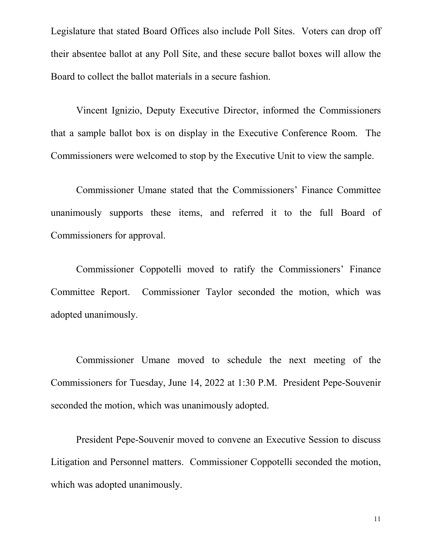Legislature that stated Board Offices also include Poll Sites. Voters can drop off their absentee ballot at any Poll Site, and these secure ballot boxes will allow the Board to collect the ballot materials in a secure fashion.

Vincent Ignizio, Deputy Executive Director, informed the Commissioners that a sample ballot box is on display in the Executive Conference Room. The Commissioners were welcomed to stop by the Executive Unit to view the sample.

Commissioner Umane stated that the Commissioners' Finance Committee unanimously supports these items, and referred it to the full Board of Commissioners for approval.

Commissioner Coppotelli moved to ratify the Commissioners' Finance Committee Report. Commissioner Taylor seconded the motion, which was adopted unanimously.

Commissioner Umane moved to schedule the next meeting of the Commissioners for Tuesday, June 14, 2022 at 1:30 P.M. President Pepe-Souvenir seconded the motion, which was unanimously adopted.

President Pepe-Souvenir moved to convene an Executive Session to discuss Litigation and Personnel matters. Commissioner Coppotelli seconded the motion, which was adopted unanimously.